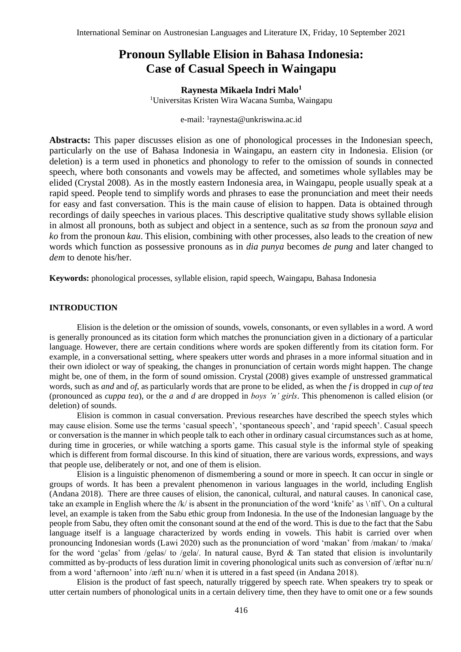# **Pronoun Syllable Elision in Bahasa Indonesia: Case of Casual Speech in Waingapu**

**Raynesta Mikaela Indri Malo<sup>1</sup>** <sup>1</sup>Universitas Kristen Wira Wacana Sumba, Waingapu

e-mail: <sup>1</sup>raynesta@unkriswina.ac.id

**Abstracts:** This paper discusses elision as one of phonological processes in the Indonesian speech, particularly on the use of Bahasa Indonesia in Waingapu, an eastern city in Indonesia. Elision (or deletion) is a term used in phonetics and phonology to refer to the omission of sounds in connected speech, where both consonants and vowels may be affected, and sometimes whole syllables may be elided (Crystal 2008). As in the mostly eastern Indonesia area, in Waingapu, people usually speak at a rapid speed. People tend to simplify words and phrases to ease the pronunciation and meet their needs for easy and fast conversation. This is the main cause of elision to happen. Data is obtained through recordings of daily speeches in various places. This descriptive qualitative study shows syllable elision in almost all pronouns, both as subject and object in a sentence, such as *sa* from the pronoun *saya* and *ko* from the pronoun *kau*. This elision, combining with other processes, also leads to the creation of new words which function as possessive pronouns as in *dia punya* becomes *de pung* and later changed to *dem* to denote his/her.

**Keywords:** phonological processes, syllable elision, rapid speech, Waingapu, Bahasa Indonesia

#### **INTRODUCTION**

Elision is the deletion or the omission of sounds, vowels, consonants, or even syllables in a word. A word is generally pronounced as its citation form which matches the pronunciation given in a dictionary of a particular language. However, there are certain conditions where words are spoken differently from its citation form. For example, in a conversational setting, where speakers utter words and phrases in a more informal situation and in their own idiolect or way of speaking, the changes in pronunciation of certain words might happen. The change might be, one of them, in the form of sound omission. Crystal (2008) gives example of unstressed grammatical words, such as *and* and *of*, as particularly words that are prone to be elided, as when the *f* is dropped in *cup of tea* (pronounced as *cuppa tea*), or the *a* and *d* are dropped in *boys 'n' girls*. This phenomenon is called elision (or deletion) of sounds.

Elision is common in casual conversation. Previous researches have described the speech styles which may cause elision. Some use the terms 'casual speech', 'spontaneous speech', and 'rapid speech'. Casual speech or conversation is the manner in which people talk to each other in ordinary casual circumstances such as at home, during time in groceries, or while watching a sports game. This casual style is the informal style of speaking which is different from formal discourse. In this kind of situation, there are various words, expressions, and ways that people use, deliberately or not, and one of them is elision.

Elision is a linguistic phenomenon of dismembering a sound or more in speech. It can occur in single or groups of words. It has been a prevalent phenomenon in various languages in the world, including English (Andana 2018). There are three causes of elision, the canonical, cultural, and natural causes. In canonical case, take an example in English where the /k/ is absent in the pronunciation of the word 'knife' as  $\|n\|$ . On a cultural level, an example is taken from the Sabu ethic group from Indonesia. In the use of the Indonesian language by the people from Sabu, they often omit the consonant sound at the end of the word. This is due to the fact that the Sabu language itself is a language characterized by words ending in vowels. This habit is carried over when pronouncing Indonesian words (Lawi 2020) such as the pronunciation of word 'makan' from /makan/ to /maka/ for the word 'gelas' from /gelas/ to /gela/. In natural cause, Byrd & Tan stated that elision is involuntarily committed as by-products of less duration limit in covering phonological units such as conversion of /æftərˈnuːn/ from a word 'afternoon' into /æft nuːn/ when it is uttered in a fast speed (in Andana 2018).

Elision is the product of fast speech, naturally triggered by speech rate. When speakers try to speak or utter certain numbers of phonological units in a certain delivery time, then they have to omit one or a few sounds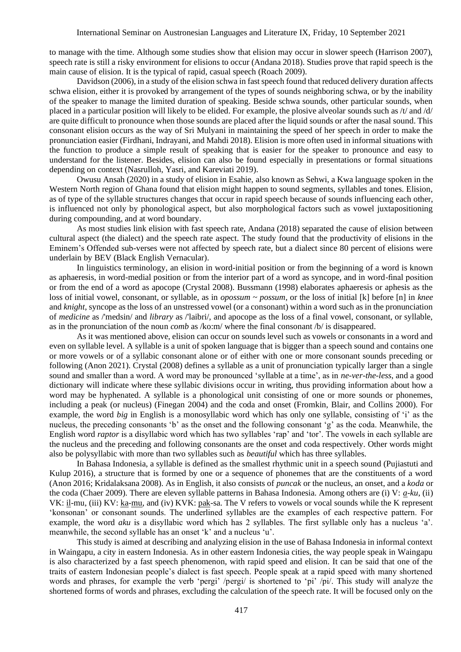to manage with the time. Although some studies show that elision may occur in slower speech (Harrison 2007), speech rate is still a risky environment for elisions to occur (Andana 2018). Studies prove that rapid speech is the main cause of elision. It is the typical of rapid, casual speech (Roach 2009).

Davidson (2006), in a study of the elision schwa in fast speech found that reduced delivery duration affects schwa elision, either it is provoked by arrangement of the types of sounds neighboring schwa, or by the inability of the speaker to manage the limited duration of speaking. Beside schwa sounds, other particular sounds, when placed in a particular position will likely to be elided. For example, the plosive alveolar sounds such as /t/ and /d/ are quite difficult to pronounce when those sounds are placed after the liquid sounds or after the nasal sound. This consonant elision occurs as the way of Sri Mulyani in maintaining the speed of her speech in order to make the pronunciation easier (Firdhani, Indrayani, and Mahdi 2018). Elision is more often used in informal situations with the function to produce a simple result of speaking that is easier for the speaker to pronounce and easy to understand for the listener. Besides, elision can also be found especially in presentations or formal situations depending on context (Nasrulloh, Yasri, and Kareviati 2019).

Owusu Ansah (2020) in a study of elision in Esahie, also known as Sehwi, a Kwa language spoken in the Western North region of Ghana found that elision might happen to sound segments, syllables and tones. Elision, as of type of the syllable structures changes that occur in rapid speech because of sounds influencing each other, is influenced not only by phonological aspect, but also morphological factors such as vowel juxtapositioning during compounding, and at word boundary.

As most studies link elision with fast speech rate, Andana (2018) separated the cause of elision between cultural aspect (the dialect) and the speech rate aspect. The study found that the productivity of elisions in the Eminem's Offended sub-verses were not affected by speech rate, but a dialect since 80 percent of elisions were underlain by BEV (Black English Vernacular).

In linguistics terminology, an elision in word-initial position or from the beginning of a word is known as aphaeresis, in word-medial position or from the interior part of a word as syncope, and in word-final position or from the end of a word as apocope (Crystal 2008). Bussmann (1998) elaborates aphaeresis or aphesis as the loss of initial vowel, consonant, or syllable, as in *opossum ~ possum*, or the loss of initial [k] before [n] in *knee* and *knight*, syncope as the loss of an unstressed vowel (or a consonant) within a word such as in the pronunciation of *medicine* as /'medsin/ and *library* as /'laibri/, and apocope as the loss of a final vowel, consonant, or syllable, as in the pronunciation of the noun *comb* as /ko:m/ where the final consonant /b/ is disappeared.

As it was mentioned above, elision can occur on sounds level such as vowels or consonants in a word and even on syllable level. A syllable is a unit of spoken language that is bigger than a speech sound and contains one or more vowels or of a syllabic consonant alone or of either with one or more consonant sounds preceding or following (Anon 2021). Crystal (2008) defines a syllable as a unit of pronunciation typically larger than a single sound and smaller than a word. A word may be pronounced 'syllable at a time', as in *ne-ver-the-less*, and a good dictionary will indicate where these syllabic divisions occur in writing, thus providing information about how a word may be hyphenated. A syllable is a phonological unit consisting of one or more sounds or phonemes, including a peak (or nucleus) (Finegan 2004) and the coda and onset (Fromkin, Blair, and Collins 2000). For example, the word *big* in English is a monosyllabic word which has only one syllable, consisting of 'i' as the nucleus, the preceding consonants 'b' as the onset and the following consonant 'g' as the coda. Meanwhile, the English word *raptor* is a disyllabic word which has two syllables 'rap' and 'tor'. The vowels in each syllable are the nucleus and the preceding and following consonants are the onset and coda respectively. Other words might also be polysyllabic with more than two syllables such as *beautiful* which has three syllables.

In Bahasa Indonesia, a syllable is defined as the smallest rhythmic unit in a speech sound (Pujiastuti and Kulup 2016), a structure that is formed by one or a sequence of phonemes that are the constituents of a word (Anon 2016; Kridalaksana 2008). As in English, it also consists of *puncak* or the nucleus, an onset, and a *koda* or the coda (Chaer 2009). There are eleven syllable patterns in Bahasa Indonesia. Among others are (i) V: *a-ku*, (ii) VK: il-mu, (iii) KV: ka-mu, and (iv) KVK: pak-sa. The V refers to vowels or vocal sounds while the K represent 'konsonan' or consonant sounds. The underlined syllables are the examples of each respective pattern. For example, the word *aku* is a disyllabic word which has 2 syllables. The first syllable only has a nucleus 'a'. meanwhile, the second syllable has an onset 'k' and a nucleus 'u'.

This study is aimed at describing and analyzing elision in the use of Bahasa Indonesia in informal context in Waingapu, a city in eastern Indonesia. As in other eastern Indonesia cities, the way people speak in Waingapu is also characterized by a fast speech phenomenon, with rapid speed and elision. It can be said that one of the traits of eastern Indonesian people's dialect is fast speech. People speak at a rapid speed with many shortened words and phrases, for example the verb 'pergi' /pergi/ is shortened to 'pi' /pi/. This study will analyze the shortened forms of words and phrases, excluding the calculation of the speech rate. It will be focused only on the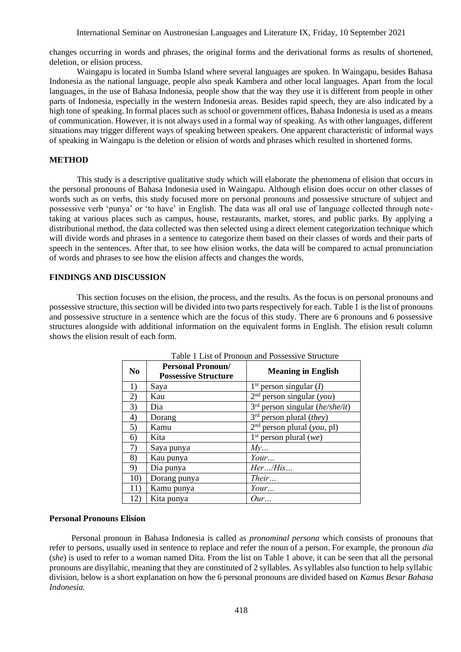International Seminar on Austronesian Languages and Literature IX, Friday, 10 September 2021

changes occurring in words and phrases, the original forms and the derivational forms as results of shortened, deletion, or elision process.

Waingapu is located in Sumba Island where several languages are spoken. In Waingapu, besides Bahasa Indonesia as the national language, people also speak Kambera and other local languages. Apart from the local languages, in the use of Bahasa Indonesia, people show that the way they use it is different from people in other parts of Indonesia, especially in the western Indonesia areas. Besides rapid speech, they are also indicated by a high tone of speaking. In formal places such as school or government offices, Bahasa Indonesia is used as a means of communication. However, it is not always used in a formal way of speaking. As with other languages, different situations may trigger different ways of speaking between speakers. One apparent characteristic of informal ways of speaking in Waingapu is the deletion or elision of words and phrases which resulted in shortened forms.

## **METHOD**

This study is a descriptive qualitative study which will elaborate the phenomena of elision that occurs in the personal pronouns of Bahasa Indonesia used in Waingapu. Although elision does occur on other classes of words such as on verbs, this study focused more on personal pronouns and possessive structure of subject and possessive verb 'punya' or 'to have' in English. The data was all oral use of language collected through notetaking at various places such as campus, house, restaurants, market, stores, and public parks. By applying a distributional method, the data collected was then selected using a direct element categorization technique which will divide words and phrases in a sentence to categorize them based on their classes of words and their parts of speech in the sentences. After that, to see how elision works, the data will be compared to actual pronunciation of words and phrases to see how the elision affects and changes the words.

## **FINDINGS AND DISCUSSION**

This section focuses on the elision, the process, and the results. As the focus is on personal pronouns and possessive structure, this section will be divided into two parts respectively for each. Table 1 is the list of pronouns and possessive structure in a sentence which are the focus of this study. There are 6 pronouns and 6 possessive structures alongside with additional information on the equivalent forms in English. The elision result column shows the elision result of each form.

| No  | <b>Personal Pronoun/</b><br><b>Possessive Structure</b> | <b>Meaning in English</b>           |  |
|-----|---------------------------------------------------------|-------------------------------------|--|
| 1)  | Saya                                                    | $1st$ person singular ( <i>I</i> )  |  |
| 2)  | Kau                                                     | $2nd$ person singular (you)         |  |
| 3)  | Dia                                                     | $3rd$ person singular (he/she/it)   |  |
| 4)  | Dorang                                                  | $3rd$ person plural ( <i>they</i> ) |  |
| 5)  | Kamu                                                    | $2nd$ person plural (you, pl)       |  |
| 6)  | Kita                                                    | $1st$ person plural (we)            |  |
| 7)  | Saya punya                                              | My                                  |  |
| 8)  | Kau punya                                               | Your                                |  |
| 9)  | Dia punya                                               | Her/His                             |  |
| 10) | Dorang punya                                            | Their                               |  |
| 11) | Kamu punya                                              | Your                                |  |
| 12) | Kita punya                                              | Our                                 |  |

Table 1 List of Pronoun and Possessive Structure

# **Personal Pronouns Elision**

Personal pronoun in Bahasa Indonesia is called as *pronominal persona* which consists of pronouns that refer to persons, usually used in sentence to replace and refer the noun of a person. For example, the pronoun *dia*  (*she*) is used to refer to a woman named Dita. From the list on Table 1 above, it can be seen that all the personal pronouns are disyllabic, meaning that they are constituted of 2 syllables. As syllables also function to help syllabic division, below is a short explanation on how the 6 personal pronouns are divided based on *Kamus Besar Bahasa Indonesia.*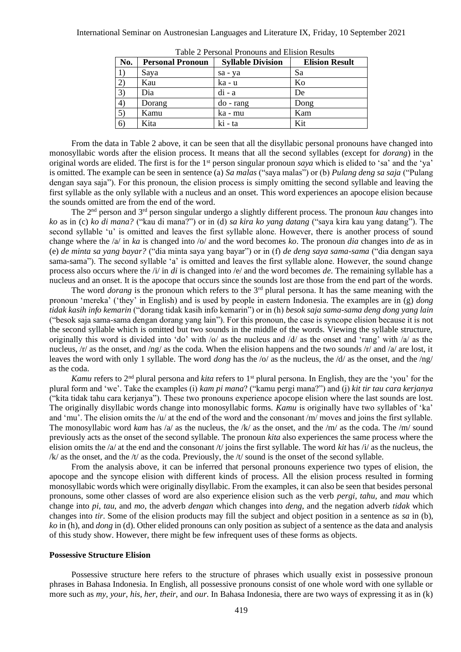| No. | <b>Personal Pronoun</b> | <b>Syllable Division</b> | <b>Elision Result</b> |  |
|-----|-------------------------|--------------------------|-----------------------|--|
|     | Saya                    | sa - ya                  | Sa                    |  |
| 2)  | Kau                     | ka - u                   | Ko                    |  |
| 3)  | Dia                     | $di - a$                 | De                    |  |
| 4)  | Dorang                  | $do$ - rang              | Dong                  |  |
| 5)  | Kamu                    | ka - mu                  | Kam                   |  |
| 6)  | Kita                    | ki - ta                  | Kit                   |  |

Table 2 Personal Pronouns and Elision Results

From the data in Table 2 above, it can be seen that all the disyllabic personal pronouns have changed into monosyllabic words after the elision process. It means that all the second syllables (except for *dorang*) in the original words are elided. The first is for the 1st person singular pronoun *saya* which is elided to 'sa' and the 'ya' is omitted. The example can be seen in sentence (a) *Sa malas* ("saya malas") or (b) *Pulang deng sa saja* ("Pulang dengan saya saja"). For this pronoun, the elision process is simply omitting the second syllable and leaving the first syllable as the only syllable with a nucleus and an onset. This word experiences an apocope elision because the sounds omitted are from the end of the word.

The 2nd person and 3rd person singular undergo a slightly different process. The pronoun *kau* changes into *ko* as in (c) *ko di mana?* ("kau di mana?") or in (d) *sa kira ko yang datang* ("saya kira kau yang datang"). The second syllable 'u' is omitted and leaves the first syllable alone. However, there is another process of sound change where the /a/ in *ka* is changed into /o/ and the word becomes *ko*. The pronoun *dia* changes into *de* as in (e) *de minta sa yang bayar?* ("dia minta saya yang bayar") or in (f) *de deng saya sama-sama* ("dia dengan saya sama-sama"). The second syllable 'a' is omitted and leaves the first syllable alone. However, the sound change process also occurs where the /i/ in *di* is changed into /e/ and the word becomes *de*. The remaining syllable has a nucleus and an onset. It is the apocope that occurs since the sounds lost are those from the end part of the words.

The word *dorang* is the pronoun which refers to the 3<sup>rd</sup> plural persona. It has the same meaning with the pronoun 'mereka' ('they' in English) and is used by people in eastern Indonesia. The examples are in (g) *dong tidak kasih info kemarin* ("dorang tidak kasih info kemarin") or in (h) *besok saja sama-sama deng dong yang lain* ("besok saja sama-sama dengan dorang yang lain"). For this pronoun, the case is syncope elision because it is not the second syllable which is omitted but two sounds in the middle of the words. Viewing the syllable structure, originally this word is divided into 'do' with  $\sqrt{o}$  as the nucleus and  $\sqrt{d}$  as the onset and 'rang' with  $\sqrt{a}$  as the nucleus,  $/r/$  as the onset, and  $/ng/$  as the coda. When the elision happens and the two sounds  $/r/$  and  $/af$  are lost, it leaves the word with only 1 syllable. The word *dong* has the /o/ as the nucleus, the /d/ as the onset, and the /ng/ as the coda.

*Kamu* refers to 2<sup>nd</sup> plural persona and *kita* refers to 1<sup>st</sup> plural persona. In English, they are the 'you' for the plural form and 'we'. Take the examples (i) *kam pi mana*? ("kamu pergi mana?") and (j) *kit tir tau cara kerjanya*  ("kita tidak tahu cara kerjanya"). These two pronouns experience apocope elision where the last sounds are lost. The originally disyllabic words change into monosyllabic forms. *Kamu* is originally have two syllables of 'ka' and 'mu'. The elision omits the /u/ at the end of the word and the consonant /m/ moves and joins the first syllable. The monosyllabic word *kam* has /a/ as the nucleus, the /k/ as the onset, and the /m/ as the coda. The /m/ sound previously acts as the onset of the second syllable. The pronoun *kita* also experiences the same process where the elision omits the /a/ at the end and the consonant /t/ joins the first syllable. The word *kit* has /i/ as the nucleus, the  $/k$  as the onset, and the  $/t$  as the coda. Previously, the  $/t$  sound is the onset of the second syllable.

From the analysis above, it can be inferred that personal pronouns experience two types of elision, the apocope and the syncope elision with different kinds of process. All the elision process resulted in forming monosyllabic words which were originally disyllabic. From the examples, it can also be seen that besides personal pronouns, some other classes of word are also experience elision such as the verb *pergi, tahu,* and *mau* which change into *pi*, *tau*, and *mo*, the adverb *dengan* which changes into *deng,* and the negation adverb *tidak* which changes into *tir*. Some of the elision products may fill the subject and object position in a sentence as *sa* in (b), *ko* in (h), and *dong* in (d). Other elided pronouns can only position as subject of a sentence as the data and analysis of this study show. However, there might be few infrequent uses of these forms as objects.

### **Possessive Structure Elision**

Possessive structure here refers to the structure of phrases which usually exist in possessive pronoun phrases in Bahasa Indonesia. In English, all possessive pronouns consist of one whole word with one syllable or more such as *my, your, his, her, their,* and *our*. In Bahasa Indonesia, there are two ways of expressing it as in (k)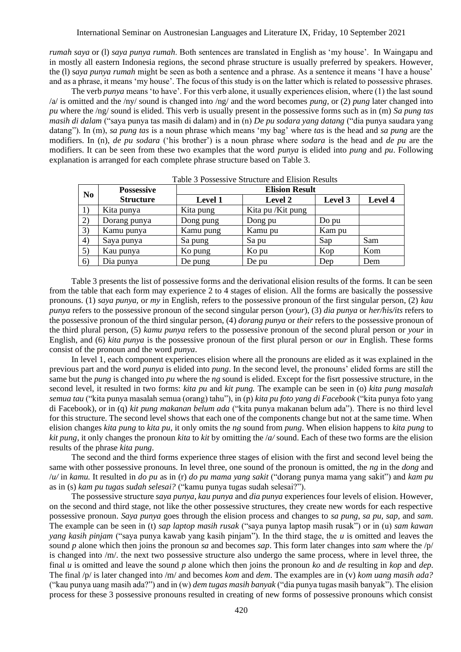*rumah saya* or (l) *saya punya rumah*. Both sentences are translated in English as 'my house'. In Waingapu and in mostly all eastern Indonesia regions, the second phrase structure is usually preferred by speakers. However, the (l) s*aya punya rumah* might be seen as both a sentence and a phrase. As a sentence it means 'I have a house' and as a phrase, it means 'my house'. The focus of this study is on the latter which is related to possessive phrases.

The verb *punya* means 'to have'. For this verb alone, it usually experiences elision, where (1) the last sound /a/ is omitted and the /ny/ sound is changed into /ng/ and the word becomes *pung,* or (2) *pung* later changed into *pu* where the /ng/ sound is elided. This verb is usually present in the possessive forms such as in (m) *Sa pung tas masih di dalam* ("saya punya tas masih di dalam) and in (n) *De pu sodara yang datang* ("dia punya saudara yang datang"). In (m), *sa pung tas* is a noun phrase which means 'my bag' where *tas* is the head and *sa pung* are the modifiers. In (n), *de pu sodara* ('his brother') is a noun phrase where *sodara* is the head and *de pu* are the modifiers. It can be seen from these two examples that the word *punya* is elided into *pung* and *pu*. Following explanation is arranged for each complete phrase structure based on Table 3.

| N <sub>0</sub> | <b>Possessive</b> | <b>Elision Result</b> |                    |         |         |
|----------------|-------------------|-----------------------|--------------------|---------|---------|
|                | <b>Structure</b>  | Level 1               | Level 2            | Level 3 | Level 4 |
|                | Kita punya        | Kita pung             | Kita pu / Kit pung |         |         |
| 2)             | Dorang punya      | Dong pung             | Dong pu            | Do pu   |         |
| 3)             | Kamu punya        | Kamu pung             | Kamu pu            | Kam pu  |         |
| 4)             | Saya punya        | Sa pung               | Sa pu              | Sap     | Sam     |
| 5)             | Kau punya         | Ko pung               | Ko pu              | Kop     | Kom     |
| (6)            | Dia punya         | De pung               | De pu              | Dep     | Dem     |

Table 3 Possessive Structure and Elision Results

Table 3 presents the list of possessive forms and the derivational elision results of the forms. It can be seen from the table that each form may experience 2 to 4 stages of elision. All the forms are basically the possessive pronouns. (1) *saya punya,* or *my* in English, refers to the possessive pronoun of the first singular person, (2) *kau punya* refers to the possessive pronoun of the second singular person (*your*), (3) *dia punya* or *her/his/its* refers to the possessive pronoun of the third singular person, (4) *dorang punya* or *their* refers to the possessive pronoun of the third plural person, (5) *kamu punya* refers to the possessive pronoun of the second plural person or *your* in English, and (6) *kita punya* is the possessive pronoun of the first plural person or *our* in English. These forms consist of the pronoun and the word *punya*.

In level 1, each component experiences elision where all the pronouns are elided as it was explained in the previous part and the word *punya* is elided into *pung*. In the second level, the pronouns' elided forms are still the same but the *pung* is changed into *pu* where the *ng* sound is elided. Except for the fisrt possessive structure, in the second level, it resulted in two forms: *kita pu* and *kit pung.* The example can be seen in (o) *kita pung masalah semua tau* ("kita punya masalah semua (orang) tahu"), in (p) *kita pu foto yang di Facebook* ("kita punya foto yang di Facebook), or in (q) *kit pung makanan belum ada* ("kita punya makanan belum ada"). There is no third level for this structure. The second level shows that each one of the components change but not at the same time. When elision changes *kita pung* to *kita pu,* it only omits the *ng* sound from *pung*. When elision happens to *kita pung* to *kit pung*, it only changes the pronoun *kita* to *kit* by omitting the /*a/* sound. Each of these two forms are the elision results of the phrase *kita pung*.

The second and the third forms experience three stages of elision with the first and second level being the same with other possessive pronouns. In level three, one sound of the pronoun is omitted, the *ng* in the *dong* and /*u/* in *kamu.* It resulted in *do pu* as in (r) *do pu mama yang sakit* ("dorang punya mama yang sakit") and *kam pu* as in (s) *kam pu tugas sudah selesai?* ("kamu punya tugas sudah selesai?").

The possessive structure *saya punya, kau punya* and *dia punya* experiences four levels of elision. However, on the second and third stage, not like the other possessive structures, they create new words for each respective possessive pronoun. *Saya punya* goes through the elision process and changes to *sa pung*, *sa pu, sap,* and *sam*. The example can be seen in (t) *sap laptop masih rusak* ("saya punya laptop masih rusak") or in (u) *sam kawan yang kasih pinjam* ("saya punya kawab yang kasih pinjam"). In the third stage, the *u* is omitted and leaves the sound *p* alone which then joins the pronoun *sa* and becomes *sap*. This form later changes into *sam* where the /p/ is changed into /m/. the next two possessive structure also undergo the same process, where in level three, the final *u* is omitted and leave the sound *p* alone which then joins the pronoun *ko* and *de* resulting in *kop* and *dep*. The final /p/ is later changed into /m/ and becomes *kom* and *dem*. The examples are in (v) *kom uang masih ada?*  ("kau punya uang masih ada?") and in (w) *dem tugas masih banyak* ("dia punya tugas masih banyak"). The elision process for these 3 possessive pronouns resulted in creating of new forms of possessive pronouns which consist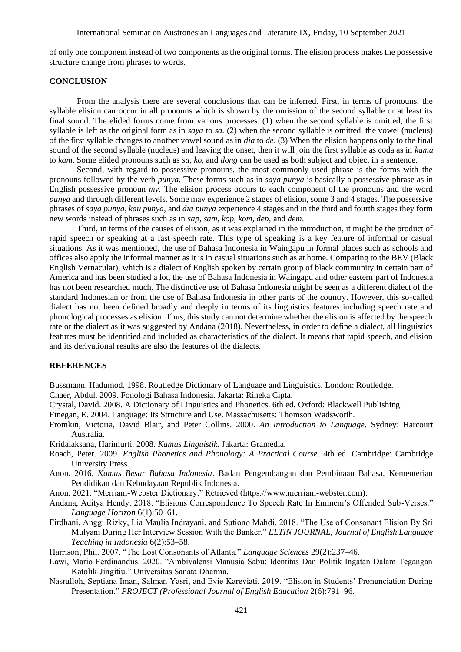of only one component instead of two components as the original forms. The elision process makes the possessive structure change from phrases to words.

## **CONCLUSION**

From the analysis there are several conclusions that can be inferred. First, in terms of pronouns, the syllable elision can occur in all pronouns which is shown by the omission of the second syllable or at least its final sound. The elided forms come from various processes. (1) when the second syllable is omitted, the first syllable is left as the original form as in *saya* to *sa.* (2) when the second syllable is omitted, the vowel (nucleus) of the first syllable changes to another vowel sound as in *dia* to *de*. (3) When the elision happens only to the final sound of the second syllable (nucleus) and leaving the onset, then it will join the first syllable as coda as in *kamu* to *kam*. Some elided pronouns such as *sa, ko,* and *dong* can be used as both subject and object in a sentence.

Second, with regard to possessive pronouns, the most commonly used phrase is the forms with the pronouns followed by the verb *punya*. These forms such as in *saya punya* is basically a possessive phrase as in English possessive pronoun *my*. The elision process occurs to each component of the pronouns and the word *punya* and through different levels. Some may experience 2 stages of elision, some 3 and 4 stages. The possessive phrases of *saya punya, kau punya,* and *dia punya* experience 4 stages and in the third and fourth stages they form new words instead of phrases such as in *sap, sam, kop, kom, dep,* and *dem*.

Third, in terms of the causes of elision, as it was explained in the introduction, it might be the product of rapid speech or speaking at a fast speech rate. This type of speaking is a key feature of informal or casual situations. As it was mentioned, the use of Bahasa Indonesia in Waingapu in formal places such as schools and offices also apply the informal manner as it is in casual situations such as at home. Comparing to the BEV (Black English Vernacular), which is a dialect of English spoken by certain group of black community in certain part of America and has been studied a lot, the use of Bahasa Indonesia in Waingapu and other eastern part of Indonesia has not been researched much. The distinctive use of Bahasa Indonesia might be seen as a different dialect of the standard Indonesian or from the use of Bahasa Indonesia in other parts of the country. However, this so-called dialect has not been defined broadly and deeply in terms of its linguistics features including speech rate and phonological processes as elision. Thus, this study can not determine whether the elision is affected by the speech rate or the dialect as it was suggested by Andana (2018). Nevertheless, in order to define a dialect, all linguistics features must be identified and included as characteristics of the dialect. It means that rapid speech, and elision and its derivational results are also the features of the dialects.

#### **REFERENCES**

Bussmann, Hadumod. 1998. Routledge Dictionary of Language and Linguistics. London: Routledge.

Chaer, Abdul. 2009. Fonologi Bahasa Indonesia. Jakarta: Rineka Cipta.

Crystal, David. 2008. A Dictionary of Linguistics and Phonetics. 6th ed. Oxford: Blackwell Publishing.

Finegan, E. 2004. Language: Its Structure and Use. Massachusetts: Thomson Wadsworth.

- Fromkin, Victoria, David Blair, and Peter Collins. 2000. *An Introduction to Language*. Sydney: Harcourt Australia.
- Kridalaksana, Harimurti. 2008. *Kamus Linguistik*. Jakarta: Gramedia.
- Roach, Peter. 2009. *English Phonetics and Phonology: A Practical Course*. 4th ed. Cambridge: Cambridge University Press.
- Anon. 2016. *Kamus Besar Bahasa Indonesia*. Badan Pengembangan dan Pembinaan Bahasa, Kementerian Pendidikan dan Kebudayaan Republik Indonesia.
- Anon. 2021. "Merriam-Webster Dictionary." Retrieved (https://www.merriam-webster.com).
- Andana, Aditya Hendy. 2018. "Elisions Correspondence To Speech Rate In Eminem's Offended Sub-Verses." *Language Horizon* 6(1):50–61.
- Firdhani, Anggi Rizky, Lia Maulia Indrayani, and Sutiono Mahdi. 2018. "The Use of Consonant Elision By Sri Mulyani During Her Interview Session With the Banker." *ELTIN JOURNAL, Journal of English Language Teaching in Indonesia* 6(2):53–58.
- Harrison, Phil. 2007. "The Lost Consonants of Atlanta." *Language Sciences* 29(2):237–46.
- Lawi, Mario Ferdinandus. 2020. "Ambivalensi Manusia Sabu: Identitas Dan Politik Ingatan Dalam Tegangan Katolik-Jingitiu." Universitas Sanata Dharma.
- Nasrulloh, Septiana Iman, Salman Yasri, and Evie Kareviati. 2019. "Elision in Students' Pronunciation During Presentation." *PROJECT (Professional Journal of English Education* 2(6):791–96.